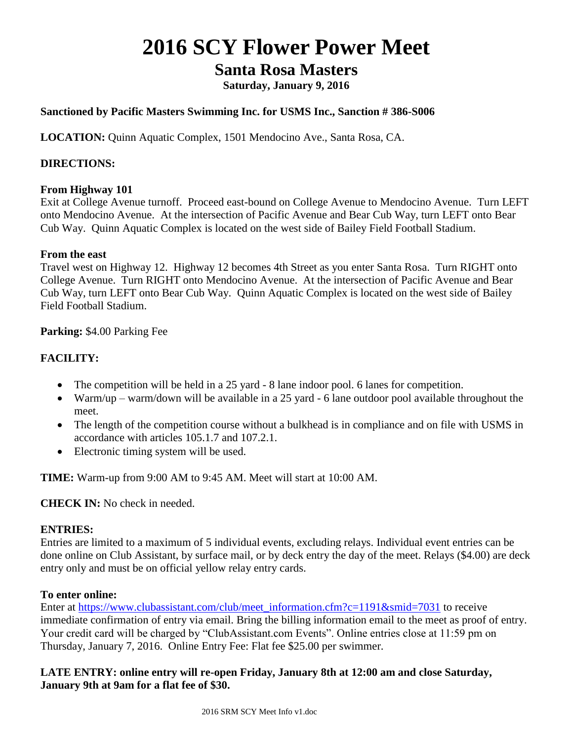# **2016 SCY Flower Power Meet**

# **Santa Rosa Masters**

**Saturday, January 9, 2016**

# **Sanctioned by Pacific Masters Swimming Inc. for USMS Inc., Sanction # 386-S006**

**LOCATION:** Quinn Aquatic Complex, 1501 Mendocino Ave., Santa Rosa, CA.

#### **DIRECTIONS:**

#### **From Highway 101**

Exit at College Avenue turnoff. Proceed east-bound on College Avenue to Mendocino Avenue. Turn LEFT onto Mendocino Avenue. At the intersection of Pacific Avenue and Bear Cub Way, turn LEFT onto Bear Cub Way. Quinn Aquatic Complex is located on the west side of Bailey Field Football Stadium.

#### **From the east**

Travel west on Highway 12. Highway 12 becomes 4th Street as you enter Santa Rosa. Turn RIGHT onto College Avenue. Turn RIGHT onto Mendocino Avenue. At the intersection of Pacific Avenue and Bear Cub Way, turn LEFT onto Bear Cub Way. Quinn Aquatic Complex is located on the west side of Bailey Field Football Stadium.

# **Parking:** \$4.00 Parking Fee

# **FACILITY:**

- The competition will be held in a 25 yard 8 lane indoor pool. 6 lanes for competition.
- Warm/up warm/down will be available in a 25 yard 6 lane outdoor pool available throughout the meet.
- The length of the competition course without a bulkhead is in compliance and on file with USMS in accordance with articles 105.1.7 and 107.2.1.
- Electronic timing system will be used.

**TIME:** Warm-up from 9:00 AM to 9:45 AM. Meet will start at 10:00 AM.

**CHECK IN:** No check in needed.

#### **ENTRIES:**

Entries are limited to a maximum of 5 individual events, excluding relays. Individual event entries can be done online on Club Assistant, by surface mail, or by deck entry the day of the meet. Relays (\$4.00) are deck entry only and must be on official yellow relay entry cards.

#### **To enter online:**

Enter at [https://www.clubassistant.com/club/meet\\_information.cfm?c=1191&smid=7031](https://www.clubassistant.com/club/meet_information.cfm?c=1191&smid=7031) to receive immediate confirmation of entry via email. Bring the billing information email to the meet as proof of entry. Your credit card will be charged by "ClubAssistant.com Events". Online entries close at 11:59 pm on Thursday, January 7, 2016. Online Entry Fee: Flat fee \$25.00 per swimmer.

# **LATE ENTRY: online entry will re-open Friday, January 8th at 12:00 am and close Saturday, January 9th at 9am for a flat fee of \$30.**